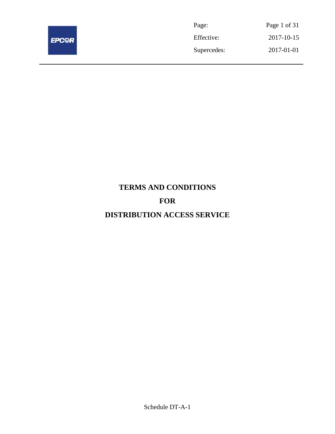

| Page:       | Page 1 of 31 |
|-------------|--------------|
| Effective:  | 2017-10-15   |
| Supercedes: | 2017-01-01   |

# **TERMS AND CONDITIONS FOR DISTRIBUTION ACCESS SERVICE**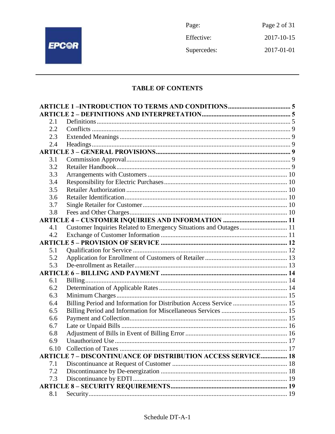

Page: Page 2 of 31 Effective: 2017-10-15 Supercedes: 2017-01-01

## **TABLE OF CONTENTS**

| 2.1 |                                                                     |  |
|-----|---------------------------------------------------------------------|--|
| 2.2 |                                                                     |  |
| 2.3 |                                                                     |  |
| 2.4 |                                                                     |  |
|     |                                                                     |  |
| 3.1 |                                                                     |  |
| 3.2 |                                                                     |  |
| 3.3 |                                                                     |  |
| 3.4 |                                                                     |  |
| 3.5 |                                                                     |  |
| 3.6 |                                                                     |  |
| 3.7 |                                                                     |  |
| 3.8 |                                                                     |  |
|     |                                                                     |  |
| 4.1 | Customer Inquiries Related to Emergency Situations and Outages 11   |  |
| 4.2 |                                                                     |  |
|     |                                                                     |  |
| 5.1 |                                                                     |  |
| 5.2 |                                                                     |  |
| 5.3 |                                                                     |  |
|     |                                                                     |  |
| 6.1 |                                                                     |  |
| 6.2 |                                                                     |  |
| 6.3 |                                                                     |  |
| 6.4 | Billing Period and Information for Distribution Access Service  15  |  |
| 6.5 |                                                                     |  |
| 6.6 |                                                                     |  |
| 6.7 |                                                                     |  |
| 6.8 |                                                                     |  |
| 6.9 |                                                                     |  |
|     |                                                                     |  |
|     | <b>ARTICLE 7 - DISCONTINUANCE OF DISTRIBUTION ACCESS SERVICE 18</b> |  |
| 7.1 |                                                                     |  |
| 7.2 |                                                                     |  |
| 7.3 |                                                                     |  |
|     |                                                                     |  |
| 8.1 |                                                                     |  |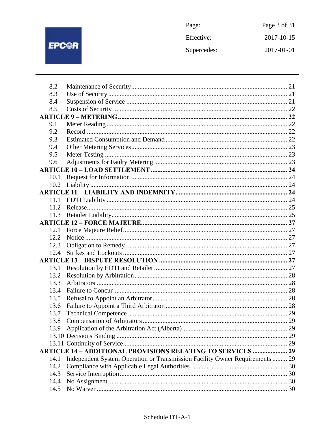

| Page:       | Page 3 of 31 |
|-------------|--------------|
| Effective:  | 2017-10-15   |
| Supercedes: | 2017-01-01   |

| 8.2  |                                                                              |  |
|------|------------------------------------------------------------------------------|--|
| 8.3  |                                                                              |  |
| 8.4  |                                                                              |  |
| 8.5  |                                                                              |  |
|      |                                                                              |  |
| 9.1  |                                                                              |  |
| 9.2  |                                                                              |  |
| 9.3  |                                                                              |  |
| 9.4  |                                                                              |  |
| 9.5  |                                                                              |  |
| 9.6  |                                                                              |  |
|      |                                                                              |  |
| 10.1 |                                                                              |  |
| 10.2 |                                                                              |  |
|      |                                                                              |  |
| 11.1 |                                                                              |  |
| 11.2 |                                                                              |  |
|      |                                                                              |  |
|      |                                                                              |  |
| 12.1 |                                                                              |  |
| 12.2 |                                                                              |  |
| 12.3 |                                                                              |  |
| 12.4 |                                                                              |  |
|      |                                                                              |  |
| 13.1 |                                                                              |  |
| 13.2 |                                                                              |  |
| 13.3 |                                                                              |  |
| 13.4 |                                                                              |  |
| 13.5 |                                                                              |  |
| 13.6 |                                                                              |  |
| 13.7 |                                                                              |  |
| 13.8 |                                                                              |  |
| 13.9 |                                                                              |  |
|      |                                                                              |  |
|      |                                                                              |  |
|      | <b>ARTICLE 14 - ADDITIONAL PROVISIONS RELATING TO SERVICES  29</b>           |  |
| 14.1 | Independent System Operation or Transmission Facility Owner Requirements  29 |  |
| 14.2 |                                                                              |  |
| 14.3 |                                                                              |  |
| 14.4 |                                                                              |  |
| 14.5 |                                                                              |  |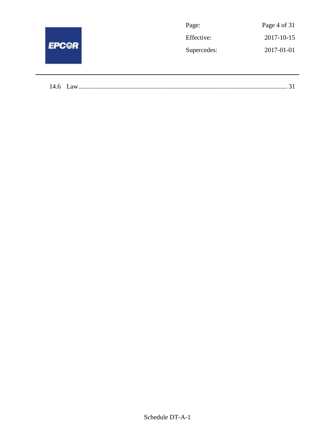|              | Page:       | Page 4 of 31 |
|--------------|-------------|--------------|
| <b>EPCOR</b> | Effective:  | 2017-10-15   |
|              | Supercedes: | 2017-01-01   |
|              |             |              |
|              |             |              |

| 14.6 | $Q$ <b>V</b> |  |
|------|--------------|--|
|------|--------------|--|

 $\overline{\phantom{a}}$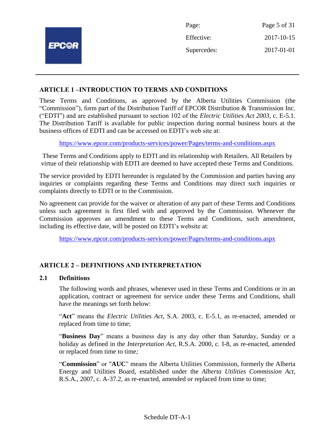|              | Page:       | Page 5 of 31 |
|--------------|-------------|--------------|
|              | Effective:  | 2017-10-15   |
| <b>EPCOR</b> | Supercedes: | 2017-01-01   |
|              |             |              |

#### **ARTICLE 1 –INTRODUCTION TO TERMS AND CONDITIONS**

These Terms and Conditions, as approved by the Alberta Utilities Commission (the "Commission"), form part of the Distribution Tariff of EPCOR Distribution & Transmission Inc. ("EDTI") and are established pursuant to section 102 of the *Electric Utilities Act 2003*, c. E-5.1. The Distribution Tariff is available for public inspection during normal business hours at the business offices of EDTI and can be accessed on EDTI's web site at:

<https://www.epcor.com/products-services/power/Pages/terms-and-conditions.aspx>

These Terms and Conditions apply to EDTI and its relationship with Retailers. All Retailers by virtue of their relationship with EDTI are deemed to have accepted these Terms and Conditions.

The service provided by EDTI hereunder is regulated by the Commission and parties having any inquiries or complaints regarding these Terms and Conditions may direct such inquiries or complaints directly to EDTI or to the Commission.

No agreement can provide for the waiver or alteration of any part of these Terms and Conditions unless such agreement is first filed with and approved by the Commission. Whenever the Commission approves an amendment to these Terms and Conditions, such amendment, including its effective date, will be posted on EDTI's website at:

<https://www.epcor.com/products-services/power/Pages/terms-and-conditions.aspx>

## **ARTICLE 2 – DEFINITIONS AND INTERPRETATION**

#### **2.1 Definitions**

The following words and phrases, whenever used in these Terms and Conditions or in an application, contract or agreement for service under these Terms and Conditions, shall have the meanings set forth below:

"**Act**" means the *Electric Utilities Act*, S.A. 2003, c. E-5.1, as re-enacted, amended or replaced from time to time;

"**Business Day**" means a business day is any day other than Saturday, Sunday or a holiday as defined in the *Interpretation Act*, R.S.A. 2000, c. I-8, as re-enacted, amended or replaced from time to time*;*

"**Commission**" or "**AUC**" means the Alberta Utilities Commission, formerly the Alberta Energy and Utilities Board, established under the *Alberta Utilities Commission Act*, R.S.A., 2007, c. A-37.2, as re-enacted, amended or replaced from time to time;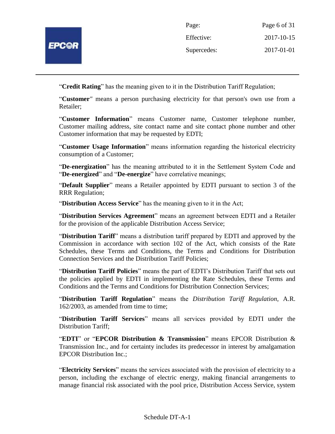

| Page:       | Page 6 of 31 |
|-------------|--------------|
| Effective:  | 2017-10-15   |
| Supercedes: | 2017-01-01   |

"**Credit Rating**" has the meaning given to it in the Distribution Tariff Regulation;

"**Customer***"* means a person purchasing electricity for that person's own use from a Retailer;

"**Customer Information**" means Customer name, Customer telephone number, Customer mailing address, site contact name and site contact phone number and other Customer information that may be requested by EDTI;

"**Customer Usage Information**" means information regarding the historical electricity consumption of a Customer;

"**De-energization**" has the meaning attributed to it in the Settlement System Code and "**De-energized**" and "**De-energize**" have correlative meanings;

"**Default Supplier**" means a Retailer appointed by EDTI pursuant to section 3 of the RRR Regulation;

"**Distribution Access Service**" has the meaning given to it in the Act;

"**Distribution Services Agreement**" means an agreement between EDTI and a Retailer for the provision of the applicable Distribution Access Service;

"**Distribution Tariff**" means a distribution tariff prepared by EDTI and approved by the Commission in accordance with section 102 of the Act, which consists of the Rate Schedules, these Terms and Conditions, the Terms and Conditions for Distribution Connection Services and the Distribution Tariff Policies;

"**Distribution Tariff Policies**" means the part of EDTI's Distribution Tariff that sets out the policies applied by EDTI in implementing the Rate Schedules, these Terms and Conditions and the Terms and Conditions for Distribution Connection Services;

"**Distribution Tariff Regulation**" means the *Distribution Tariff Regulation*, A.R. 162/2003, as amended from time to time;

"**Distribution Tariff Services**" means all services provided by EDTI under the Distribution Tariff;

"**EDTI**" or "**EPCOR Distribution & Transmission**" means EPCOR Distribution & Transmission Inc., and for certainty includes its predecessor in interest by amalgamation EPCOR Distribution Inc.;

"**Electricity Services**" means the services associated with the provision of electricity to a person, including the exchange of electric energy, making financial arrangements to manage financial risk associated with the pool price, Distribution Access Service, system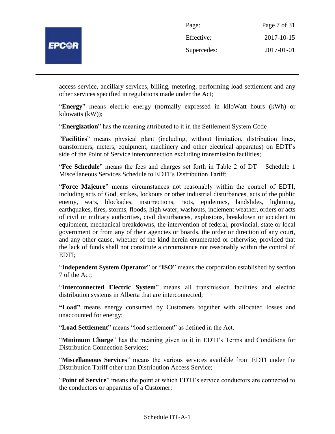

| Page:       | Page 7 of 31 |
|-------------|--------------|
| Effective:  | 2017-10-15   |
| Supercedes: | 2017-01-01   |

access service, ancillary services, billing, metering, performing load settlement and any other services specified in regulations made under the Act;

"**Energy**" means electric energy (normally expressed in kiloWatt hours (kWh) or kilowatts (kW));

"**Energization**" has the meaning attributed to it in the Settlement System Code

*"***Facilities**" means physical plant (including, without limitation, distribution lines, transformers, meters, equipment, machinery and other electrical apparatus) on EDTI's side of the Point of Service interconnection excluding transmission facilities;

"**Fee Schedule**" means the fees and charges set forth in Table 2 of DT – Schedule 1 Miscellaneous Services Schedule to EDTI's Distribution Tariff;

"**Force Majeure**" means circumstances not reasonably within the control of EDTI, including acts of God, strikes, lockouts or other industrial disturbances, acts of the public enemy, wars, blockades, insurrections, riots, epidemics, landslides, lightning, earthquakes, fires, storms, floods, high water, washouts, inclement weather, orders or acts of civil or military authorities, civil disturbances, explosions, breakdown or accident to equipment, mechanical breakdowns, the intervention of federal, provincial, state or local government or from any of their agencies or boards, the order or direction of any court, and any other cause, whether of the kind herein enumerated or otherwise, provided that the lack of funds shall not constitute a circumstance not reasonably within the control of EDTI;

"**Independent System Operator**" or "**ISO**" means the corporation established by section 7 of the Act;

"**Interconnected Electric System**" means all transmission facilities and electric distribution systems in Alberta that are interconnected;

**"Load"** means energy consumed by Customers together with allocated losses and unaccounted for energy;

"**Load Settlement**" means "load settlement" as defined in the Act.

"**Minimum Charge**" has the meaning given to it in EDTI's Terms and Conditions for Distribution Connection Services;

"**Miscellaneous Services**" means the various services available from EDTI under the Distribution Tariff other than Distribution Access Service;

"**Point of Service**" means the point at which EDTI's service conductors are connected to the conductors or apparatus of a Customer;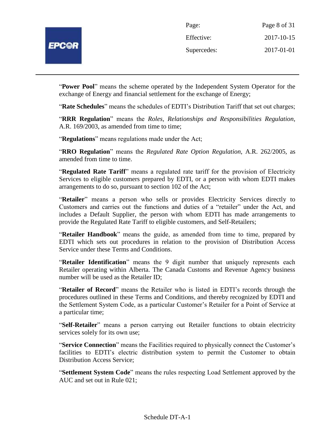

| Page:       | Page 8 of 31 |
|-------------|--------------|
| Effective:  | 2017-10-15   |
| Supercedes: | 2017-01-01   |

"**Power Pool**" means the scheme operated by the Independent System Operator for the exchange of Energy and financial settlement for the exchange of Energy;

"**Rate Schedules**" means the schedules of EDTI's Distribution Tariff that set out charges;

"**RRR Regulation**" means the *Roles, Relationships and Responsibilities Regulation*, A.R. 169/2003, as amended from time to time;

"**Regulations**" means regulations made under the Act;

"**RRO Regulation**" means the *Regulated Rate Option Regulation*, A.R. 262/2005, as amended from time to time.

"**Regulated Rate Tariff**" means a regulated rate tariff for the provision of Electricity Services to eligible customers prepared by EDTI, or a person with whom EDTI makes arrangements to do so, pursuant to section 102 of the Act;

"**Retailer**" means a person who sells or provides Electricity Services directly to Customers and carries out the functions and duties of a "retailer" under the Act, and includes a Default Supplier, the person with whom EDTI has made arrangements to provide the Regulated Rate Tariff to eligible customers, and Self-Retailers;

"**Retailer Handbook**" means the guide, as amended from time to time, prepared by EDTI which sets out procedures in relation to the provision of Distribution Access Service under these Terms and Conditions.

"**Retailer Identification**" means the 9 digit number that uniquely represents each Retailer operating within Alberta. The Canada Customs and Revenue Agency business number will be used as the Retailer ID;

"**Retailer of Record**" means the Retailer who is listed in EDTI's records through the procedures outlined in these Terms and Conditions, and thereby recognized by EDTI and the Settlement System Code, as a particular Customer's Retailer for a Point of Service at a particular time;

"**Self-Retailer**" means a person carrying out Retailer functions to obtain electricity services solely for its own use;

"**Service Connection**" means the Facilities required to physically connect the Customer's facilities to EDTI's electric distribution system to permit the Customer to obtain Distribution Access Service;

"**Settlement System Code**" means the rules respecting Load Settlement approved by the AUC and set out in Rule 021;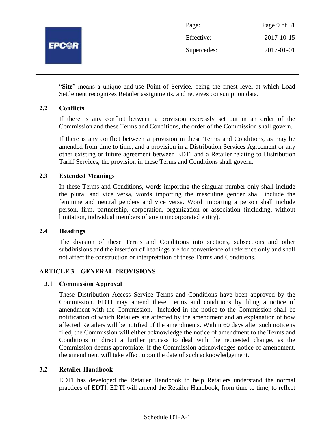

| Page:       | Page 9 of 31 |
|-------------|--------------|
| Effective:  | 2017-10-15   |
| Supercedes: | 2017-01-01   |

"**Site**" means a unique end-use Point of Service, being the finest level at which Load Settlement recognizes Retailer assignments, and receives consumption data.

#### **2.2 Conflicts**

If there is any conflict between a provision expressly set out in an order of the Commission and these Terms and Conditions, the order of the Commission shall govern.

If there is any conflict between a provision in these Terms and Conditions, as may be amended from time to time, and a provision in a Distribution Services Agreement or any other existing or future agreement between EDTI and a Retailer relating to Distribution Tariff Services, the provision in these Terms and Conditions shall govern.

## **2.3 Extended Meanings**

In these Terms and Conditions, words importing the singular number only shall include the plural and vice versa, words importing the masculine gender shall include the feminine and neutral genders and vice versa. Word importing a person shall include person, firm, partnership, corporation, organization or association (including, without limitation, individual members of any unincorporated entity).

#### **2.4 Headings**

The division of these Terms and Conditions into sections, subsections and other subdivisions and the insertion of headings are for convenience of reference only and shall not affect the construction or interpretation of these Terms and Conditions.

## **ARTICLE 3 – GENERAL PROVISIONS**

#### **3.1 Commission Approval**

These Distribution Access Service Terms and Conditions have been approved by the Commission. EDTI may amend these Terms and conditions by filing a notice of amendment with the Commission. Included in the notice to the Commission shall be notification of which Retailers are affected by the amendment and an explanation of how affected Retailers will be notified of the amendments. Within 60 days after such notice is filed, the Commission will either acknowledge the notice of amendment to the Terms and Conditions or direct a further process to deal with the requested change, as the Commission deems appropriate. If the Commission acknowledges notice of amendment, the amendment will take effect upon the date of such acknowledgement.

#### **3.2 Retailer Handbook**

EDTI has developed the Retailer Handbook to help Retailers understand the normal practices of EDTI. EDTI will amend the Retailer Handbook, from time to time, to reflect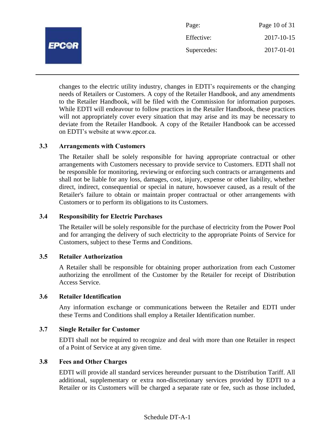

changes to the electric utility industry, changes in EDTI's requirements or the changing needs of Retailers or Customers. A copy of the Retailer Handbook, and any amendments to the Retailer Handbook, will be filed with the Commission for information purposes. While EDTI will endeavour to follow practices in the Retailer Handbook, these practices will not appropriately cover every situation that may arise and its may be necessary to deviate from the Retailer Handbook. A copy of the Retailer Handbook can be accessed on EDTI's website at www.epcor.ca.

#### **3.3 Arrangements with Customers**

The Retailer shall be solely responsible for having appropriate contractual or other arrangements with Customers necessary to provide service to Customers. EDTI shall not be responsible for monitoring, reviewing or enforcing such contracts or arrangements and shall not be liable for any loss, damages, cost, injury, expense or other liability, whether direct, indirect, consequential or special in nature, howsoever caused, as a result of the Retailer's failure to obtain or maintain proper contractual or other arrangements with Customers or to perform its obligations to its Customers.

#### **3.4 Responsibility for Electric Purchases**

The Retailer will be solely responsible for the purchase of electricity from the Power Pool and for arranging the delivery of such electricity to the appropriate Points of Service for Customers, subject to these Terms and Conditions.

#### **3.5 Retailer Authorization**

A Retailer shall be responsible for obtaining proper authorization from each Customer authorizing the enrollment of the Customer by the Retailer for receipt of Distribution Access Service.

#### **3.6 Retailer Identification**

Any information exchange or communications between the Retailer and EDTI under these Terms and Conditions shall employ a Retailer Identification number.

#### **3.7 Single Retailer for Customer**

EDTI shall not be required to recognize and deal with more than one Retailer in respect of a Point of Service at any given time.

#### **3.8 Fees and Other Charges**

EDTI will provide all standard services hereunder pursuant to the Distribution Tariff. All additional, supplementary or extra non-discretionary services provided by EDTI to a Retailer or its Customers will be charged a separate rate or fee, such as those included,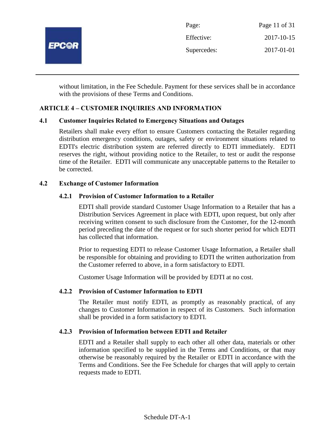

without limitation, in the Fee Schedule. Payment for these services shall be in accordance with the provisions of these Terms and Conditions.

## **ARTICLE 4 – CUSTOMER INQUIRIES AND INFORMATION**

#### **4.1 Customer Inquiries Related to Emergency Situations and Outages**

Retailers shall make every effort to ensure Customers contacting the Retailer regarding distribution emergency conditions, outages, safety or environment situations related to EDTI's electric distribution system are referred directly to EDTI immediately. EDTI reserves the right, without providing notice to the Retailer, to test or audit the response time of the Retailer. EDTI will communicate any unacceptable patterns to the Retailer to be corrected.

#### **4.2 Exchange of Customer Information**

#### **4.2.1 Provision of Customer Information to a Retailer**

EDTI shall provide standard Customer Usage Information to a Retailer that has a Distribution Services Agreement in place with EDTI, upon request, but only after receiving written consent to such disclosure from the Customer, for the 12-month period preceding the date of the request or for such shorter period for which EDTI has collected that information.

Prior to requesting EDTI to release Customer Usage Information, a Retailer shall be responsible for obtaining and providing to EDTI the written authorization from the Customer referred to above, in a form satisfactory to EDTI.

Customer Usage Information will be provided by EDTI at no cost.

#### **4.2.2 Provision of Customer Information to EDTI**

The Retailer must notify EDTI, as promptly as reasonably practical, of any changes to Customer Information in respect of its Customers. Such information shall be provided in a form satisfactory to EDTI.

#### **4.2.3 Provision of Information between EDTI and Retailer**

EDTI and a Retailer shall supply to each other all other data, materials or other information specified to be supplied in the Terms and Conditions, or that may otherwise be reasonably required by the Retailer or EDTI in accordance with the Terms and Conditions. See the Fee Schedule for charges that will apply to certain requests made to EDTI.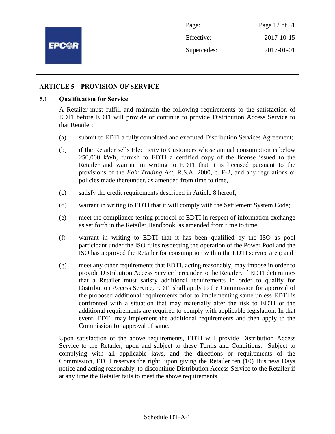

Page: Page 12 of 31 Effective: 2017-10-15 Supercedes: 2017-01-01

#### **ARTICLE 5 – PROVISION OF SERVICE**

#### **5.1 Qualification for Service**

A Retailer must fulfill and maintain the following requirements to the satisfaction of EDTI before EDTI will provide or continue to provide Distribution Access Service to that Retailer:

- (a) submit to EDTI a fully completed and executed Distribution Services Agreement;
- (b) if the Retailer sells Electricity to Customers whose annual consumption is below 250,000 kWh, furnish to EDTI a certified copy of the license issued to the Retailer and warrant in writing to EDTI that it is licensed pursuant to the provisions of the *Fair Trading Act*, R.S.A. 2000, c. F-2, and any regulations or policies made thereunder, as amended from time to time,
- (c) satisfy the credit requirements described in Article 8 hereof;
- (d) warrant in writing to EDTI that it will comply with the Settlement System Code;
- (e) meet the compliance testing protocol of EDTI in respect of information exchange as set forth in the Retailer Handbook, as amended from time to time;
- (f) warrant in writing to EDTI that it has been qualified by the ISO as pool participant under the ISO rules respecting the operation of the Power Pool and the ISO has approved the Retailer for consumption within the EDTI service area; and
- (g) meet any other requirements that EDTI, acting reasonably, may impose in order to provide Distribution Access Service hereunder to the Retailer. If EDTI determines that a Retailer must satisfy additional requirements in order to qualify for Distribution Access Service, EDTI shall apply to the Commission for approval of the proposed additional requirements prior to implementing same unless EDTI is confronted with a situation that may materially alter the risk to EDTI or the additional requirements are required to comply with applicable legislation. In that event, EDTI may implement the additional requirements and then apply to the Commission for approval of same.

Upon satisfaction of the above requirements, EDTI will provide Distribution Access Service to the Retailer, upon and subject to these Terms and Conditions. Subject to complying with all applicable laws, and the directions or requirements of the Commission, EDTI reserves the right, upon giving the Retailer ten (10) Business Days notice and acting reasonably, to discontinue Distribution Access Service to the Retailer if at any time the Retailer fails to meet the above requirements.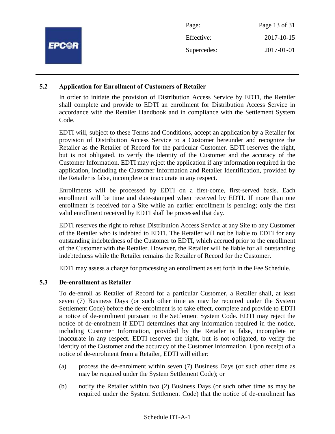|              | Page:       | Page 13 of 31 |
|--------------|-------------|---------------|
|              | Effective:  | 2017-10-15    |
| <b>EPC@R</b> | Supercedes: | 2017-01-01    |
|              |             |               |

## **5.2 Application for Enrollment of Customers of Retailer**

In order to initiate the provision of Distribution Access Service by EDTI, the Retailer shall complete and provide to EDTI an enrollment for Distribution Access Service in accordance with the Retailer Handbook and in compliance with the Settlement System Code.

EDTI will, subject to these Terms and Conditions, accept an application by a Retailer for provision of Distribution Access Service to a Customer hereunder and recognize the Retailer as the Retailer of Record for the particular Customer. EDTI reserves the right, but is not obligated, to verify the identity of the Customer and the accuracy of the Customer Information. EDTI may reject the application if any information required in the application, including the Customer Information and Retailer Identification, provided by the Retailer is false, incomplete or inaccurate in any respect.

Enrollments will be processed by EDTI on a first-come, first-served basis. Each enrollment will be time and date-stamped when received by EDTI. If more than one enrollment is received for a Site while an earlier enrollment is pending; only the first valid enrollment received by EDTI shall be processed that day.

EDTI reserves the right to refuse Distribution Access Service at any Site to any Customer of the Retailer who is indebted to EDTI. The Retailer will not be liable to EDTI for any outstanding indebtedness of the Customer to EDTI, which accrued prior to the enrollment of the Customer with the Retailer. However, the Retailer will be liable for all outstanding indebtedness while the Retailer remains the Retailer of Record for the Customer.

EDTI may assess a charge for processing an enrollment as set forth in the Fee Schedule.

## **5.3 De-enrollment as Retailer**

To de-enroll as Retailer of Record for a particular Customer, a Retailer shall, at least seven (7) Business Days (or such other time as may be required under the System Settlement Code) before the de-enrolment is to take effect, complete and provide to EDTI a notice of de-enrolment pursuant to the Settlement System Code. EDTI may reject the notice of de-enrolment if EDTI determines that any information required in the notice, including Customer Information, provided by the Retailer is false, incomplete or inaccurate in any respect. EDTI reserves the right, but is not obligated, to verify the identity of the Customer and the accuracy of the Customer Information. Upon receipt of a notice of de-enrolment from a Retailer, EDTI will either:

- (a) process the de-enrolment within seven (7) Business Days (or such other time as may be required under the System Settlement Code); or
- (b) notify the Retailer within two (2) Business Days (or such other time as may be required under the System Settlement Code) that the notice of de-enrolment has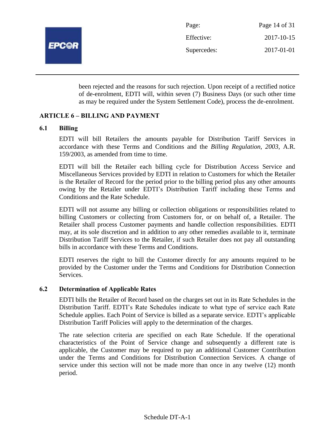

Page: Page 14 of 31 Effective: 2017-10-15 Supercedes: 2017-01-01

been rejected and the reasons for such rejection. Upon receipt of a rectified notice of de-enrolment, EDTI will, within seven (7) Business Days (or such other time as may be required under the System Settlement Code), process the de-enrolment.

## **ARTICLE 6 – BILLING AND PAYMENT**

## **6.1 Billing**

EDTI will bill Retailers the amounts payable for Distribution Tariff Services in accordance with these Terms and Conditions and the *Billing Regulation, 2003*, A.R. 159/2003, as amended from time to time.

EDTI will bill the Retailer each billing cycle for Distribution Access Service and Miscellaneous Services provided by EDTI in relation to Customers for which the Retailer is the Retailer of Record for the period prior to the billing period plus any other amounts owing by the Retailer under EDTI's Distribution Tariff including these Terms and Conditions and the Rate Schedule.

EDTI will not assume any billing or collection obligations or responsibilities related to billing Customers or collecting from Customers for, or on behalf of, a Retailer. The Retailer shall process Customer payments and handle collection responsibilities. EDTI may, at its sole discretion and in addition to any other remedies available to it, terminate Distribution Tariff Services to the Retailer, if such Retailer does not pay all outstanding bills in accordance with these Terms and Conditions.

EDTI reserves the right to bill the Customer directly for any amounts required to be provided by the Customer under the Terms and Conditions for Distribution Connection Services.

## **6.2 Determination of Applicable Rates**

EDTI bills the Retailer of Record based on the charges set out in its Rate Schedules in the Distribution Tariff. EDTI's Rate Schedules indicate to what type of service each Rate Schedule applies. Each Point of Service is billed as a separate service. EDTI's applicable Distribution Tariff Policies will apply to the determination of the charges.

The rate selection criteria are specified on each Rate Schedule. If the operational characteristics of the Point of Service change and subsequently a different rate is applicable, the Customer may be required to pay an additional Customer Contribution under the Terms and Conditions for Distribution Connection Services. A change of service under this section will not be made more than once in any twelve (12) month period.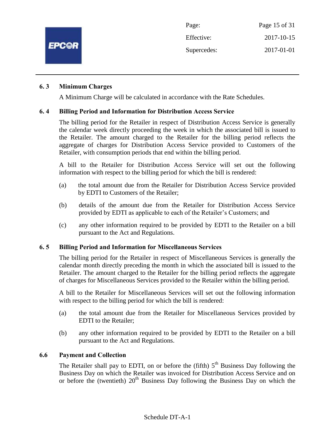

#### **6. 3 Minimum Charges**

A Minimum Charge will be calculated in accordance with the Rate Schedules.

#### **6. 4 Billing Period and Information for Distribution Access Service**

The billing period for the Retailer in respect of Distribution Access Service is generally the calendar week directly proceeding the week in which the associated bill is issued to the Retailer. The amount charged to the Retailer for the billing period reflects the aggregate of charges for Distribution Access Service provided to Customers of the Retailer, with consumption periods that end within the billing period.

A bill to the Retailer for Distribution Access Service will set out the following information with respect to the billing period for which the bill is rendered:

- (a) the total amount due from the Retailer for Distribution Access Service provided by EDTI to Customers of the Retailer;
- (b) details of the amount due from the Retailer for Distribution Access Service provided by EDTI as applicable to each of the Retailer's Customers; and
- (c) any other information required to be provided by EDTI to the Retailer on a bill pursuant to the Act and Regulations.

#### **6. 5 Billing Period and Information for Miscellaneous Services**

The billing period for the Retailer in respect of Miscellaneous Services is generally the calendar month directly preceding the month in which the associated bill is issued to the Retailer. The amount charged to the Retailer for the billing period reflects the aggregate of charges for Miscellaneous Services provided to the Retailer within the billing period.

A bill to the Retailer for Miscellaneous Services will set out the following information with respect to the billing period for which the bill is rendered:

- (a) the total amount due from the Retailer for Miscellaneous Services provided by EDTI to the Retailer;
- (b) any other information required to be provided by EDTI to the Retailer on a bill pursuant to the Act and Regulations.

#### **6.6 Payment and Collection**

The Retailer shall pay to EDTI, on or before the (fifth)  $5<sup>th</sup>$  Business Day following the Business Day on which the Retailer was invoiced for Distribution Access Service and on or before the (twentieth)  $20<sup>th</sup>$  Business Day following the Business Day on which the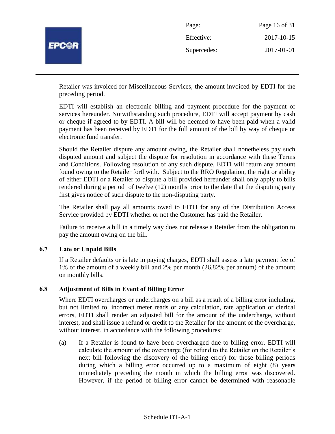

Retailer was invoiced for Miscellaneous Services, the amount invoiced by EDTI for the preceding period.

EDTI will establish an electronic billing and payment procedure for the payment of services hereunder. Notwithstanding such procedure, EDTI will accept payment by cash or cheque if agreed to by EDTI. A bill will be deemed to have been paid when a valid payment has been received by EDTI for the full amount of the bill by way of cheque or electronic fund transfer.

Should the Retailer dispute any amount owing, the Retailer shall nonetheless pay such disputed amount and subject the dispute for resolution in accordance with these Terms and Conditions. Following resolution of any such dispute, EDTI will return any amount found owing to the Retailer forthwith. Subject to the RRO Regulation, the right or ability of either EDTI or a Retailer to dispute a bill provided hereunder shall only apply to bills rendered during a period of twelve (12) months prior to the date that the disputing party first gives notice of such dispute to the non-disputing party.

The Retailer shall pay all amounts owed to EDTI for any of the Distribution Access Service provided by EDTI whether or not the Customer has paid the Retailer.

Failure to receive a bill in a timely way does not release a Retailer from the obligation to pay the amount owing on the bill.

## **6.7 Late or Unpaid Bills**

If a Retailer defaults or is late in paying charges, EDTI shall assess a late payment fee of 1% of the amount of a weekly bill and 2% per month (26.82% per annum) of the amount on monthly bills.

#### **6.8 Adjustment of Bills in Event of Billing Error**

Where EDTI overcharges or undercharges on a bill as a result of a billing error including, but not limited to, incorrect meter reads or any calculation, rate application or clerical errors, EDTI shall render an adjusted bill for the amount of the undercharge, without interest, and shall issue a refund or credit to the Retailer for the amount of the overcharge, without interest, in accordance with the following procedures:

(a) If a Retailer is found to have been overcharged due to billing error, EDTI will calculate the amount of the overcharge (for refund to the Retailer on the Retailer's next bill following the discovery of the billing error) for those billing periods during which a billing error occurred up to a maximum of eight (8) years immediately preceding the month in which the billing error was discovered. However, if the period of billing error cannot be determined with reasonable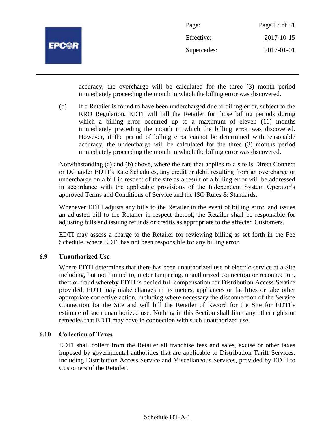

| Page:       | Page 17 of 31 |
|-------------|---------------|
| Effective:  | 2017-10-15    |
| Supercedes: | 2017-01-01    |

accuracy, the overcharge will be calculated for the three (3) month period immediately proceeding the month in which the billing error was discovered.

(b) If a Retailer is found to have been undercharged due to billing error, subject to the RRO Regulation, EDTI will bill the Retailer for those billing periods during which a billing error occurred up to a maximum of eleven (11) months immediately preceding the month in which the billing error was discovered. However, if the period of billing error cannot be determined with reasonable accuracy, the undercharge will be calculated for the three (3) months period immediately proceeding the month in which the billing error was discovered.

Notwithstanding (a) and (b) above, where the rate that applies to a site is Direct Connect or DC under EDTI's Rate Schedules, any credit or debit resulting from an overcharge or undercharge on a bill in respect of the site as a result of a billing error will be addressed in accordance with the applicable provisions of the Independent System Operator's approved Terms and Conditions of Service and the ISO Rules & Standards.

Whenever EDTI adjusts any bills to the Retailer in the event of billing error, and issues an adjusted bill to the Retailer in respect thereof, the Retailer shall be responsible for adjusting bills and issuing refunds or credits as appropriate to the affected Customers.

EDTI may assess a charge to the Retailer for reviewing billing as set forth in the Fee Schedule, where EDTI has not been responsible for any billing error.

## **6.9 Unauthorized Use**

Where EDTI determines that there has been unauthorized use of electric service at a Site including, but not limited to, meter tampering, unauthorized connection or reconnection, theft or fraud whereby EDTI is denied full compensation for Distribution Access Service provided, EDTI may make changes in its meters, appliances or facilities or take other appropriate corrective action, including where necessary the disconnection of the Service Connection for the Site and will bill the Retailer of Record for the Site for EDTI's estimate of such unauthorized use. Nothing in this Section shall limit any other rights or remedies that EDTI may have in connection with such unauthorized use.

## **6.10 Collection of Taxes**

EDTI shall collect from the Retailer all franchise fees and sales, excise or other taxes imposed by governmental authorities that are applicable to Distribution Tariff Services, including Distribution Access Service and Miscellaneous Services, provided by EDTI to Customers of the Retailer.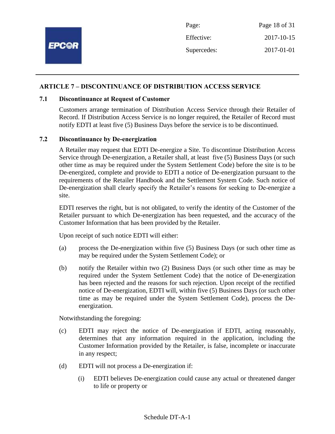

#### **ARTICLE 7 – DISCONTINUANCE OF DISTRIBUTION ACCESS SERVICE**

#### **7.1 Discontinuance at Request of Customer**

Customers arrange termination of Distribution Access Service through their Retailer of Record. If Distribution Access Service is no longer required, the Retailer of Record must notify EDTI at least five (5) Business Days before the service is to be discontinued.

#### **7.2 Discontinuance by De-energization**

A Retailer may request that EDTI De-energize a Site. To discontinue Distribution Access Service through De-energization, a Retailer shall, at least five (5) Business Days (or such other time as may be required under the System Settlement Code) before the site is to be De-energized, complete and provide to EDTI a notice of De-energization pursuant to the requirements of the Retailer Handbook and the Settlement System Code. Such notice of De-energization shall clearly specify the Retailer's reasons for seeking to De-energize a site.

EDTI reserves the right, but is not obligated, to verify the identity of the Customer of the Retailer pursuant to which De-energization has been requested, and the accuracy of the Customer Information that has been provided by the Retailer.

Upon receipt of such notice EDTI will either:

- (a) process the De-energization within five (5) Business Days (or such other time as may be required under the System Settlement Code); or
- (b) notify the Retailer within two (2) Business Days (or such other time as may be required under the System Settlement Code) that the notice of De-energization has been rejected and the reasons for such rejection. Upon receipt of the rectified notice of De-energization, EDTI will, within five (5) Business Days (or such other time as may be required under the System Settlement Code), process the Deenergization.

Notwithstanding the foregoing:

- (c) EDTI may reject the notice of De-energization if EDTI, acting reasonably, determines that any information required in the application, including the Customer Information provided by the Retailer, is false, incomplete or inaccurate in any respect;
- (d) EDTI will not process a De-energization if:
	- (i) EDTI believes De-energization could cause any actual or threatened danger to life or property or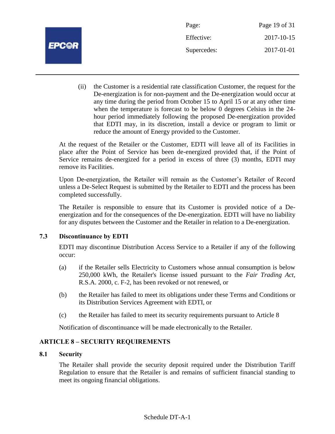

| Page:       | Page 19 of 31 |
|-------------|---------------|
| Effective:  | 2017-10-15    |
| Supercedes: | 2017-01-01    |

(ii) the Customer is a residential rate classification Customer, the request for the De-energization is for non-payment and the De-energization would occur at any time during the period from October 15 to April 15 or at any other time when the temperature is forecast to be below 0 degrees Celsius in the 24 hour period immediately following the proposed De-energization provided that EDTI may, in its discretion, install a device or program to limit or reduce the amount of Energy provided to the Customer.

At the request of the Retailer or the Customer, EDTI will leave all of its Facilities in place after the Point of Service has been de-energized provided that, if the Point of Service remains de-energized for a period in excess of three (3) months, EDTI may remove its Facilities.

Upon De-energization, the Retailer will remain as the Customer's Retailer of Record unless a De-Select Request is submitted by the Retailer to EDTI and the process has been completed successfully.

The Retailer is responsible to ensure that its Customer is provided notice of a Deenergization and for the consequences of the De-energization. EDTI will have no liability for any disputes between the Customer and the Retailer in relation to a De-energization.

## **7.3 Discontinuance by EDTI**

EDTI may discontinue Distribution Access Service to a Retailer if any of the following occur:

- (a) if the Retailer sells Electricity to Customers whose annual consumption is below 250,000 kWh, the Retailer's license issued pursuant to the *Fair Trading Act,* R.S.A. 2000, c. F-2, has been revoked or not renewed, or
- (b) the Retailer has failed to meet its obligations under these Terms and Conditions or its Distribution Services Agreement with EDTI, or
- (c) the Retailer has failed to meet its security requirements pursuant to Article 8

Notification of discontinuance will be made electronically to the Retailer.

## **ARTICLE 8 – SECURITY REQUIREMENTS**

## **8.1 Security**

The Retailer shall provide the security deposit required under the Distribution Tariff Regulation to ensure that the Retailer is and remains of sufficient financial standing to meet its ongoing financial obligations.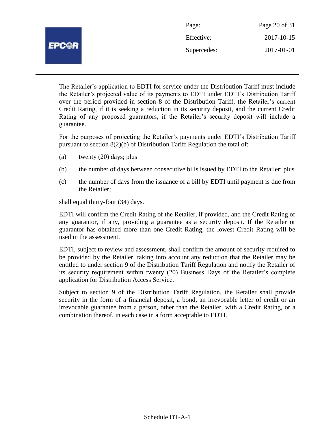|              | Page:       | Page 20 of 31 |
|--------------|-------------|---------------|
| <b>EPCOR</b> | Effective:  | 2017-10-15    |
|              | Supercedes: | 2017-01-01    |
|              |             |               |

The Retailer's application to EDTI for service under the Distribution Tariff must include the Retailer's projected value of its payments to EDTI under EDTI's Distribution Tariff over the period provided in section 8 of the Distribution Tariff, the Retailer's current Credit Rating, if it is seeking a reduction in its security deposit, and the current Credit Rating of any proposed guarantors, if the Retailer's security deposit will include a guarantee.

For the purposes of projecting the Retailer's payments under EDTI's Distribution Tariff pursuant to section 8(2)(b) of Distribution Tariff Regulation the total of:

- (a) twenty (20) days; plus
- (b) the number of days between consecutive bills issued by EDTI to the Retailer; plus
- (c) the number of days from the issuance of a bill by EDTI until payment is due from the Retailer;

shall equal thirty-four (34) days.

EDTI will confirm the Credit Rating of the Retailer, if provided, and the Credit Rating of any guarantor, if any, providing a guarantee as a security deposit. If the Retailer or guarantor has obtained more than one Credit Rating, the lowest Credit Rating will be used in the assessment.

EDTI, subject to review and assessment, shall confirm the amount of security required to be provided by the Retailer, taking into account any reduction that the Retailer may be entitled to under section 9 of the Distribution Tariff Regulation and notify the Retailer of its security requirement within twenty (20) Business Days of the Retailer's complete application for Distribution Access Service.

Subject to section 9 of the Distribution Tariff Regulation, the Retailer shall provide security in the form of a financial deposit, a bond, an irrevocable letter of credit or an irrevocable guarantee from a person, other than the Retailer, with a Credit Rating, or a combination thereof, in each case in a form acceptable to EDTI.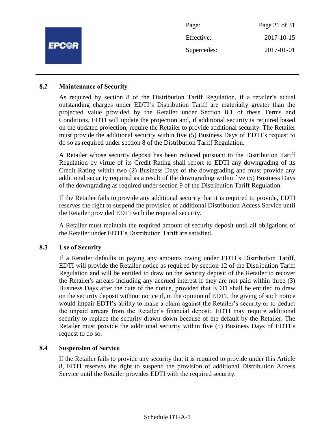|              | Page:       | Page 21 of 31 |
|--------------|-------------|---------------|
| <b>EPC@R</b> | Effective:  | 2017-10-15    |
|              | Supercedes: | 2017-01-01    |
|              |             |               |

#### **8.2 Maintenance of Security**

As required by section 8 of the Distribution Tariff Regulation, if a retailer's actual outstanding charges under EDTI's Distribution Tariff are materially greater than the projected value provided by the Retailer under Section 8.1 of these Terms and Conditions, EDTI will update the projection and, if additional security is required based on the updated projection, require the Retailer to provide additional security. The Retailer must provide the additional security within five (5) Business Days of EDTI's request to do so as required under section 8 of the Distribution Tariff Regulation.

A Retailer whose security deposit has been reduced pursuant to the Distribution Tariff Regulation by virtue of its Credit Rating shall report to EDTI any downgrading of its Credit Rating within two (2) Business Days of the downgrading and must provide any additional security required as a result of the downgrading within five (5) Business Days of the downgrading as required under section 9 of the Distribution Tariff Regulation.

If the Retailer fails to provide any additional security that it is required to provide, EDTI reserves the right to suspend the provision of additional Distribution Access Service until the Retailer provided EDTI with the required security.

A Retailer must maintain the required amount of security deposit until all obligations of the Retailer under EDTI's Distribution Tariff are satisfied.

#### **8.3 Use of Security**

If a Retailer defaults in paying any amounts owing under EDTI's Distribution Tariff, EDTI will provide the Retailer notice as required by section 12 of the Distribution Tariff Regulation and will be entitled to draw on the security deposit of the Retailer to recover the Retailer's arrears including any accrued interest if they are not paid within three (3) Business Days after the date of the notice, provided that EDTI shall be entitled to draw on the security deposit without notice if, in the opinion of EDTI, the giving of such notice would impair EDTI's ability to make a claim against the Retailer's security or to deduct the unpaid arrears from the Retailer's financial deposit. EDTI may require additional security to replace the security drawn down because of the default by the Retailer. The Retailer must provide the additional security within five (5) Business Days of EDTI's request to do so.

#### **8.4 Suspension of Service**

If the Retailer fails to provide any security that it is required to provide under this Article 8, EDTI reserves the right to suspend the provision of additional Distribution Access Service until the Retailer provides EDTI with the required security.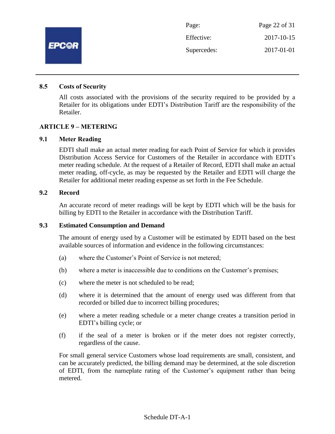

#### **8.5 Costs of Security**

All costs associated with the provisions of the security required to be provided by a Retailer for its obligations under EDTI's Distribution Tariff are the responsibility of the Retailer.

#### **ARTICLE 9 – METERING**

#### **9.1 Meter Reading**

EDTI shall make an actual meter reading for each Point of Service for which it provides Distribution Access Service for Customers of the Retailer in accordance with EDTI's meter reading schedule. At the request of a Retailer of Record, EDTI shall make an actual meter reading, off-cycle, as may be requested by the Retailer and EDTI will charge the Retailer for additional meter reading expense as set forth in the Fee Schedule.

#### **9.2 Record**

An accurate record of meter readings will be kept by EDTI which will be the basis for billing by EDTI to the Retailer in accordance with the Distribution Tariff.

#### **9.3 Estimated Consumption and Demand**

The amount of energy used by a Customer will be estimated by EDTI based on the best available sources of information and evidence in the following circumstances:

- (a) where the Customer's Point of Service is not metered;
- (b) where a meter is inaccessible due to conditions on the Customer's premises;
- (c) where the meter is not scheduled to be read;
- (d) where it is determined that the amount of energy used was different from that recorded or billed due to incorrect billing procedures;
- (e) where a meter reading schedule or a meter change creates a transition period in EDTI's billing cycle; or
- (f) if the seal of a meter is broken or if the meter does not register correctly, regardless of the cause.

For small general service Customers whose load requirements are small, consistent, and can be accurately predicted, the billing demand may be determined, at the sole discretion of EDTI, from the nameplate rating of the Customer's equipment rather than being metered.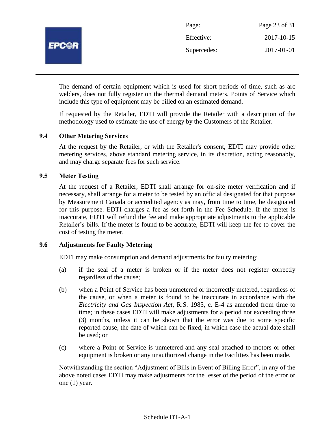

The demand of certain equipment which is used for short periods of time, such as arc welders, does not fully register on the thermal demand meters. Points of Service which include this type of equipment may be billed on an estimated demand.

If requested by the Retailer, EDTI will provide the Retailer with a description of the methodology used to estimate the use of energy by the Customers of the Retailer.

#### **9.4 Other Metering Services**

At the request by the Retailer, or with the Retailer's consent, EDTI may provide other metering services, above standard metering service, in its discretion, acting reasonably, and may charge separate fees for such service.

## **9.5 Meter Testing**

At the request of a Retailer, EDTI shall arrange for on-site meter verification and if necessary, shall arrange for a meter to be tested by an official designated for that purpose by Measurement Canada or accredited agency as may, from time to time, be designated for this purpose. EDTI charges a fee as set forth in the Fee Schedule. If the meter is inaccurate, EDTI will refund the fee and make appropriate adjustments to the applicable Retailer's bills. If the meter is found to be accurate, EDTI will keep the fee to cover the cost of testing the meter.

#### **9.6 Adjustments for Faulty Metering**

EDTI may make consumption and demand adjustments for faulty metering:

- (a) if the seal of a meter is broken or if the meter does not register correctly regardless of the cause;
- (b) when a Point of Service has been unmetered or incorrectly metered, regardless of the cause, or when a meter is found to be inaccurate in accordance with the *Electricity and Gas Inspection Act*, R.S. 1985, c. E-4 as amended from time to time; in these cases EDTI will make adjustments for a period not exceeding three (3) months, unless it can be shown that the error was due to some specific reported cause, the date of which can be fixed, in which case the actual date shall be used; or
- (c) where a Point of Service is unmetered and any seal attached to motors or other equipment is broken or any unauthorized change in the Facilities has been made.

Notwithstanding the section "Adjustment of Bills in Event of Billing Error", in any of the above noted cases EDTI may make adjustments for the lesser of the period of the error or one (1) year.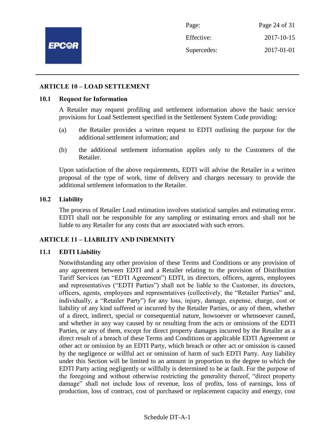

Page: Page 24 of 31 Effective: 2017-10-15 Supercedes: 2017-01-01

#### **ARTICLE 10 – LOAD SETTLEMENT**

#### **10.1 Request for Information**

A Retailer may request profiling and settlement information above the basic service provisions for Load Settlement specified in the Settlement System Code providing:

- (a) the Retailer provides a written request to EDTI outlining the purpose for the additional settlement information; and
- (b) the additional settlement information applies only to the Customers of the Retailer.

Upon satisfaction of the above requirements, EDTI will advise the Retailer in a written proposal of the type of work, time of delivery and charges necessary to provide the additional settlement information to the Retailer.

#### **10.2 Liability**

The process of Retailer Load estimation involves statistical samples and estimating error. EDTI shall not be responsible for any sampling or estimating errors and shall not be liable to any Retailer for any costs that are associated with such errors.

#### **ARTICLE 11 – LIABILITY AND INDEMNITY**

#### **11.1 EDTI Liability**

Notwithstanding any other provision of these Terms and Conditions or any provision of any agreement between EDTI and a Retailer relating to the provision of Distribution Tariff Services (an "EDTI Agreement") EDTI, its directors, officers, agents, employees and representatives ("EDTI Parties") shall not be liable to the Customer, its directors, officers, agents, employees and representatives (collectively, the "Retailer Parties" and, individually, a "Retailer Party") for any loss, injury, damage, expense, charge, cost or liability of any kind suffered or incurred by the Retailer Parties, or any of them, whether of a direct, indirect, special or consequential nature, howsoever or whensoever caused, and whether in any way caused by or resulting from the acts or omissions of the EDTI Parties, or any of them, except for direct property damages incurred by the Retailer as a direct result of a breach of these Terms and Conditions or applicable EDTI Agreement or other act or omission by an EDTI Party, which breach or other act or omission is caused by the negligence or willful act or omission of harm of such EDTI Party. Any liability under this Section will be limited to an amount in proportion to the degree to which the EDTI Party acting negligently or willfully is determined to be at fault. For the purpose of the foregoing and without otherwise restricting the generality thereof, "direct property damage" shall not include loss of revenue, loss of profits, loss of earnings, loss of production, loss of contract, cost of purchased or replacement capacity and energy, cost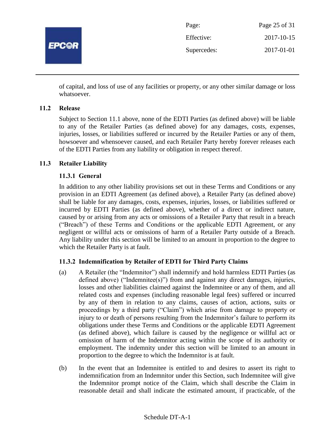

| Page:       | Page 25 of 31 |
|-------------|---------------|
| Effective:  | 2017-10-15    |
| Supercedes: | 2017-01-01    |

of capital, and loss of use of any facilities or property, or any other similar damage or loss whatsoever.

## **11.2 Release**

Subject to Section 11.1 above, none of the EDTI Parties (as defined above) will be liable to any of the Retailer Parties (as defined above) for any damages, costs, expenses, injuries, losses, or liabilities suffered or incurred by the Retailer Parties or any of them, howsoever and whensoever caused, and each Retailer Party hereby forever releases each of the EDTI Parties from any liability or obligation in respect thereof.

## **11.3 Retailer Liability**

## **11.3.1 General**

In addition to any other liability provisions set out in these Terms and Conditions or any provision in an EDTI Agreement (as defined above), a Retailer Party (as defined above) shall be liable for any damages, costs, expenses, injuries, losses, or liabilities suffered or incurred by EDTI Parties (as defined above), whether of a direct or indirect nature, caused by or arising from any acts or omissions of a Retailer Party that result in a breach ("Breach") of these Terms and Conditions or the applicable EDTI Agreement, or any negligent or willful acts or omissions of harm of a Retailer Party outside of a Breach. Any liability under this section will be limited to an amount in proportion to the degree to which the Retailer Party is at fault.

## **11.3.2 Indemnification by Retailer of EDTI for Third Party Claims**

- (a) A Retailer (the "Indemnitor") shall indemnify and hold harmless EDTI Parties (as defined above) ("Indemnitee(s)") from and against any direct damages, injuries, losses and other liabilities claimed against the Indemnitee or any of them, and all related costs and expenses (including reasonable legal fees) suffered or incurred by any of them in relation to any claims, causes of action, actions, suits or proceedings by a third party ("Claim") which arise from damage to property or injury to or death of persons resulting from the Indemnitor's failure to perform its obligations under these Terms and Conditions or the applicable EDTI Agreement (as defined above), which failure is caused by the negligence or willful act or omission of harm of the Indemnitor acting within the scope of its authority or employment. The indemnity under this section will be limited to an amount in proportion to the degree to which the Indemnitor is at fault.
- (b) In the event that an Indemnitee is entitled to and desires to assert its right to indemnification from an Indemnitor under this Section, such Indemnitee will give the Indemnitor prompt notice of the Claim, which shall describe the Claim in reasonable detail and shall indicate the estimated amount, if practicable, of the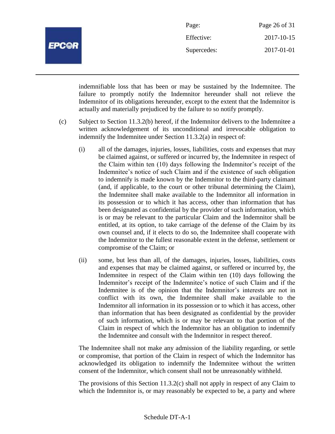

| Page:       | Page 26 of 31 |
|-------------|---------------|
| Effective:  | 2017-10-15    |
| Supercedes: | 2017-01-01    |

indemnifiable loss that has been or may be sustained by the Indemnitee. The failure to promptly notify the Indemnitor hereunder shall not relieve the Indemnitor of its obligations hereunder, except to the extent that the Indemnitor is actually and materially prejudiced by the failure to so notify promptly.

- (c) Subject to Section 11.3.2(b) hereof, if the Indemnitor delivers to the Indemnitee a written acknowledgement of its unconditional and irrevocable obligation to indemnify the Indemnitee under Section 11.3.2(a) in respect of:
	- (i) all of the damages, injuries, losses, liabilities, costs and expenses that may be claimed against, or suffered or incurred by, the Indemnitee in respect of the Claim within ten (10) days following the Indemnitor's receipt of the Indemnitee's notice of such Claim and if the existence of such obligation to indemnify is made known by the Indemnitor to the third-party claimant (and, if applicable, to the court or other tribunal determining the Claim), the Indemnitee shall make available to the Indemnitor all information in its possession or to which it has access, other than information that has been designated as confidential by the provider of such information, which is or may be relevant to the particular Claim and the Indemnitor shall be entitled, at its option, to take carriage of the defense of the Claim by its own counsel and, if it elects to do so, the Indemnitee shall cooperate with the Indemnitor to the fullest reasonable extent in the defense, settlement or compromise of the Claim; or
	- (ii) some, but less than all, of the damages, injuries, losses, liabilities, costs and expenses that may be claimed against, or suffered or incurred by, the Indemnitee in respect of the Claim within ten (10) days following the Indemnitor's receipt of the Indemnitee's notice of such Claim and if the Indemnitee is of the opinion that the Indemnitor's interests are not in conflict with its own, the Indemnitee shall make available to the Indemnitor all information in its possession or to which it has access, other than information that has been designated as confidential by the provider of such information, which is or may be relevant to that portion of the Claim in respect of which the Indemnitor has an obligation to indemnify the Indemnitee and consult with the Indemnitor in respect thereof.

The Indemnitee shall not make any admission of the liability regarding, or settle or compromise, that portion of the Claim in respect of which the Indemnitor has acknowledged its obligation to indemnify the Indemnitee without the written consent of the Indemnitor, which consent shall not be unreasonably withheld.

The provisions of this Section 11.3.2(c) shall not apply in respect of any Claim to which the Indemnitor is, or may reasonably be expected to be, a party and where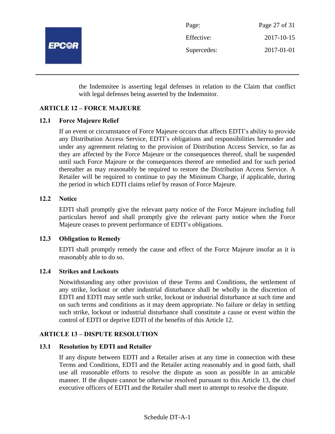

| Page:       | Page 27 of 31 |
|-------------|---------------|
| Effective:  | 2017-10-15    |
| Supercedes: | 2017-01-01    |

the Indemnitee is asserting legal defenses in relation to the Claim that conflict with legal defenses being asserted by the Indemnitor.

## **ARTICLE 12 – FORCE MAJEURE**

## **12.1 Force Majeure Relief**

If an event or circumstance of Force Majeure occurs that affects EDTI's ability to provide any Distribution Access Service, EDTI's obligations and responsibilities hereunder and under any agreement relating to the provision of Distribution Access Service, so far as they are affected by the Force Majeure or the consequences thereof, shall be suspended until such Force Majeure or the consequences thereof are remedied and for such period thereafter as may reasonably be required to restore the Distribution Access Service. A Retailer will be required to continue to pay the Minimum Charge, if applicable, during the period in which EDTI claims relief by reason of Force Majeure.

## **12.2 Notice**

EDTI shall promptly give the relevant party notice of the Force Majeure including full particulars hereof and shall promptly give the relevant party notice when the Force Majeure ceases to prevent performance of EDTI's obligations.

## **12.3 Obligation to Remedy**

EDTI shall promptly remedy the cause and effect of the Force Majeure insofar as it is reasonably able to do so.

## **12.4 Strikes and Lockouts**

Notwithstanding any other provision of these Terms and Conditions, the settlement of any strike, lockout or other industrial disturbance shall be wholly in the discretion of EDTI and EDTI may settle such strike, lockout or industrial disturbance at such time and on such terms and conditions as it may deem appropriate. No failure or delay in settling such strike, lockout or industrial disturbance shall constitute a cause or event within the control of EDTI or deprive EDTI of the benefits of this Article 12.

## **ARTICLE 13 – DISPUTE RESOLUTION**

## **13.1 Resolution by EDTI and Retailer**

If any dispute between EDTI and a Retailer arises at any time in connection with these Terms and Conditions, EDTI and the Retailer acting reasonably and in good faith, shall use all reasonable efforts to resolve the dispute as soon as possible in an amicable manner. If the dispute cannot be otherwise resolved pursuant to this Article 13, the chief executive officers of EDTI and the Retailer shall meet to attempt to resolve the dispute.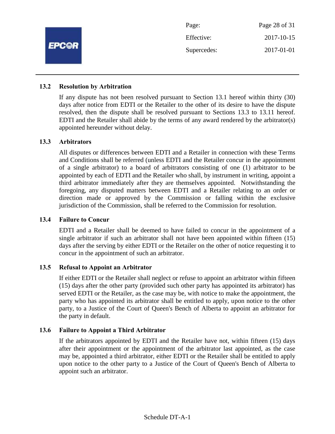

#### **13.2 Resolution by Arbitration**

If any dispute has not been resolved pursuant to Section 13.1 hereof within thirty (30) days after notice from EDTI or the Retailer to the other of its desire to have the dispute resolved, then the dispute shall be resolved pursuant to Sections 13.3 to 13.11 hereof. EDTI and the Retailer shall abide by the terms of any award rendered by the arbitrator(s) appointed hereunder without delay.

#### **13.3 Arbitrators**

All disputes or differences between EDTI and a Retailer in connection with these Terms and Conditions shall be referred (unless EDTI and the Retailer concur in the appointment of a single arbitrator) to a board of arbitrators consisting of one (1) arbitrator to be appointed by each of EDTI and the Retailer who shall, by instrument in writing, appoint a third arbitrator immediately after they are themselves appointed. Notwithstanding the foregoing, any disputed matters between EDTI and a Retailer relating to an order or direction made or approved by the Commission or falling within the exclusive jurisdiction of the Commission, shall be referred to the Commission for resolution.

#### **13.4 Failure to Concur**

EDTI and a Retailer shall be deemed to have failed to concur in the appointment of a single arbitrator if such an arbitrator shall not have been appointed within fifteen (15) days after the serving by either EDTI or the Retailer on the other of notice requesting it to concur in the appointment of such an arbitrator.

#### **13.5 Refusal to Appoint an Arbitrator**

If either EDTI or the Retailer shall neglect or refuse to appoint an arbitrator within fifteen (15) days after the other party (provided such other party has appointed its arbitrator) has served EDTI or the Retailer, as the case may be, with notice to make the appointment, the party who has appointed its arbitrator shall be entitled to apply, upon notice to the other party, to a Justice of the Court of Queen's Bench of Alberta to appoint an arbitrator for the party in default.

#### **13.6 Failure to Appoint a Third Arbitrator**

If the arbitrators appointed by EDTI and the Retailer have not, within fifteen (15) days after their appointment or the appointment of the arbitrator last appointed, as the case may be, appointed a third arbitrator, either EDTI or the Retailer shall be entitled to apply upon notice to the other party to a Justice of the Court of Queen's Bench of Alberta to appoint such an arbitrator.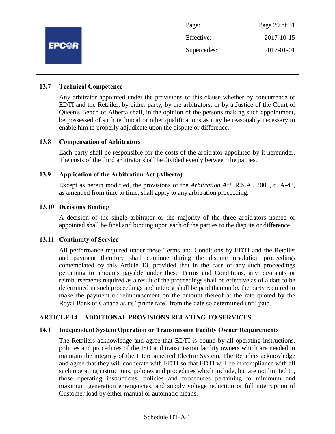

#### **13.7 Technical Competence**

Any arbitrator appointed under the provisions of this clause whether by concurrence of EDTI and the Retailer, by either party, by the arbitrators, or by a Justice of the Court of Queen's Bench of Alberta shall, in the opinion of the persons making such appointment, be possessed of such technical or other qualifications as may be reasonably necessary to enable him to properly adjudicate upon the dispute or difference.

#### **13.8 Compensation of Arbitrators**

Each party shall be responsible for the costs of the arbitrator appointed by it hereunder. The costs of the third arbitrator shall be divided evenly between the parties.

#### **13.9 Application of the Arbitration Act (Alberta)**

Except as herein modified, the provisions of the *Arbitration Act*, R.S.A., 2000, c. A-43, as amended from time to time, shall apply to any arbitration proceeding.

#### **13.10 Decisions Binding**

A decision of the single arbitrator or the majority of the three arbitrators named or appointed shall be final and binding upon each of the parties to the dispute or difference.

#### **13.11 Continuity of Service**

All performance required under these Terms and Conditions by EDTI and the Retailer and payment therefore shall continue during the dispute resolution proceedings contemplated by this Article 13, provided that in the case of any such proceedings pertaining to amounts payable under these Terms and Conditions, any payments or reimbursements required as a result of the proceedings shall be effective as of a date to be determined in such proceedings and interest shall be paid thereon by the party required to make the payment or reimbursement on the amount thereof at the rate quoted by the Royal Bank of Canada as its "prime rate" from the date so determined until paid.

#### **ARTICLE 14 – ADDITIONAL PROVISIONS RELATING TO SERVICES**

#### **14.1 Independent System Operation or Transmission Facility Owner Requirements**

The Retailers acknowledge and agree that EDTI is bound by all operating instructions, policies and procedures of the ISO and transmission facility owners which are needed to maintain the integrity of the Interconnected Electric System. The Retailers acknowledge and agree that they will cooperate with EDTI so that EDTI will be in compliance with all such operating instructions, policies and procedures which include, but are not limited to, those operating instructions, policies and procedures pertaining to minimum and maximum generation emergencies, and supply voltage reduction or full interruption of Customer load by either manual or automatic means.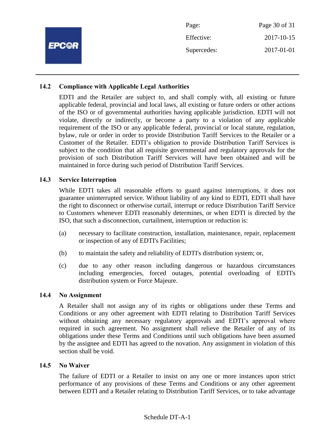|              | Page:       | Page 30 of 31 |
|--------------|-------------|---------------|
| <b>EPCOR</b> | Effective:  | 2017-10-15    |
|              | Supercedes: | 2017-01-01    |
|              |             |               |

## **14.2 Compliance with Applicable Legal Authorities**

EDTI and the Retailer are subject to, and shall comply with, all existing or future applicable federal, provincial and local laws, all existing or future orders or other actions of the ISO or of governmental authorities having applicable jurisdiction. EDTI will not violate, directly or indirectly, or become a party to a violation of any applicable requirement of the ISO or any applicable federal, provincial or local statute, regulation, bylaw, rule or order in order to provide Distribution Tariff Services to the Retailer or a Customer of the Retailer. EDTI's obligation to provide Distribution Tariff Services is subject to the condition that all requisite governmental and regulatory approvals for the provision of such Distribution Tariff Services will have been obtained and will be maintained in force during such period of Distribution Tariff Services.

#### **14.3 Service Interruption**

While EDTI takes all reasonable efforts to guard against interruptions, it does not guarantee uninterrupted service. Without liability of any kind to EDTI, EDTI shall have the right to disconnect or otherwise curtail, interrupt or reduce Distribution Tariff Service to Customers whenever EDTI reasonably determines, or when EDTI is directed by the ISO, that such a disconnection, curtailment, interruption or reduction is:

- (a) necessary to facilitate construction, installation, maintenance, repair, replacement or inspection of any of EDTI's Facilities;
- (b) to maintain the safety and reliability of EDTI's distribution system; or,
- (c) due to any other reason including dangerous or hazardous circumstances including emergencies, forced outages, potential overloading of EDTI's distribution system or Force Majeure.

#### **14.4 No Assignment**

A Retailer shall not assign any of its rights or obligations under these Terms and Conditions or any other agreement with EDTI relating to Distribution Tariff Services without obtaining any necessary regulatory approvals and EDTI's approval where required in such agreement. No assignment shall relieve the Retailer of any of its obligations under these Terms and Conditions until such obligations have been assumed by the assignee and EDTI has agreed to the novation. Any assignment in violation of this section shall be void.

#### **14.5 No Waiver**

The failure of EDTI or a Retailer to insist on any one or more instances upon strict performance of any provisions of these Terms and Conditions or any other agreement between EDTI and a Retailer relating to Distribution Tariff Services, or to take advantage